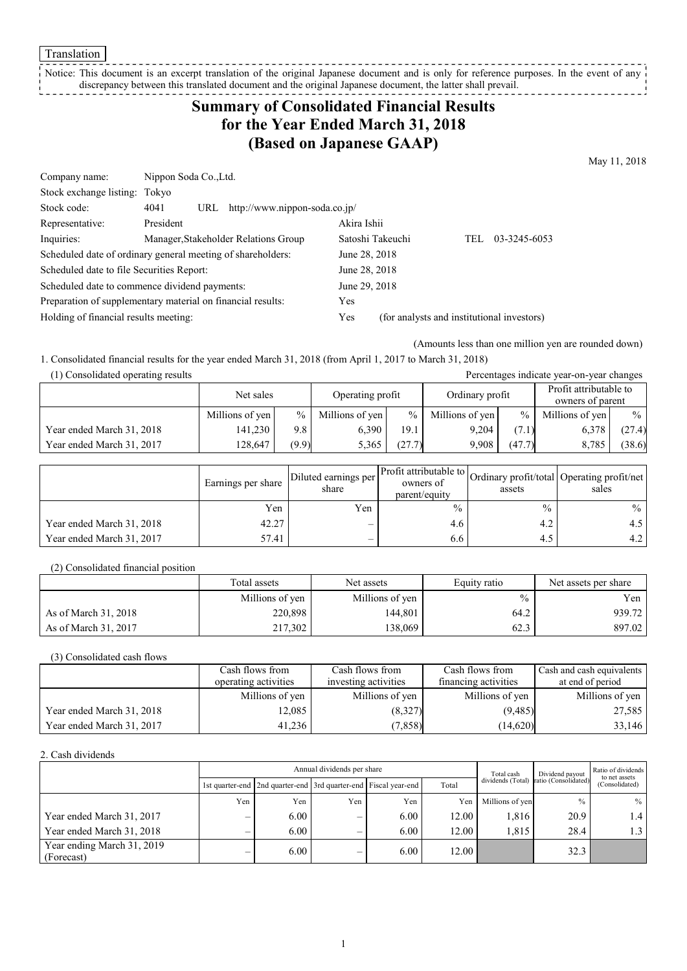Translation

Notice: This document is an excerpt translation of the original Japanese document and is only for reference purposes. In the event of any discrepancy between this translated document and the original Japanese document, the latter shall prevail. <u> - - - - - - - -</u>

## **Summary of Consolidated Financial Results for the Year Ended March 31, 2018 (Based on Japanese GAAP)**

May 11, 2018

| Company name:                                 | Nippon Soda Co., Ltd.                                       |                               |                  |                                            |      |              |
|-----------------------------------------------|-------------------------------------------------------------|-------------------------------|------------------|--------------------------------------------|------|--------------|
| Stock exchange listing: Tokyo                 |                                                             |                               |                  |                                            |      |              |
| Stock code:                                   | 4041<br>URL                                                 | http://www.nippon-soda.co.jp/ |                  |                                            |      |              |
| Representative:                               | President                                                   |                               | Akira Ishii      |                                            |      |              |
| Inquiries:                                    | Manager, Stakeholder Relations Group                        |                               | Satoshi Takeuchi |                                            | TEL. | 03-3245-6053 |
|                                               | Scheduled date of ordinary general meeting of shareholders: |                               | June 28, 2018    |                                            |      |              |
| Scheduled date to file Securities Report:     |                                                             |                               | June 28, 2018    |                                            |      |              |
| Scheduled date to commence dividend payments: |                                                             |                               | June 29, 2018    |                                            |      |              |
|                                               | Preparation of supplementary material on financial results: |                               | Yes              |                                            |      |              |
| Holding of financial results meeting:         |                                                             |                               | Yes              | (for analysts and institutional investors) |      |              |

(Amounts less than one million yen are rounded down)

1. Consolidated financial results for the year ended March 31, 2018 (from April 1, 2017 to March 31, 2018)

| (1) Consolidated operating results<br>Percentages indicate year-on-year changes |                 |               |                  |        |                 |               |                                            |        |
|---------------------------------------------------------------------------------|-----------------|---------------|------------------|--------|-----------------|---------------|--------------------------------------------|--------|
|                                                                                 | Net sales       |               | Operating profit |        | Ordinary profit |               | Profit attributable to<br>owners of parent |        |
|                                                                                 | Millions of yen | $\frac{0}{0}$ | Millions of yen  | $\%$   | Millions of yen | $\frac{0}{0}$ | Millions of yen                            | $\%$   |
| Year ended March 31, 2018                                                       | 141.230         | 9.8           | 6.390            | 19.1   | 9.204           | (7.1)         | 6,378                                      | (27.4) |
| Year ended March 31, 2017                                                       | 128,647         | (9.9)         | 5,365            | (27.7) | 9.908           | (47.7)        | 8,785                                      | (38.6) |

|                           | Earnings per share | Diluted earnings per<br>share | owners of<br>parent/equity | assets | Profit attributable to Ordinary profit/total Operating profit/net '<br>sales |
|---------------------------|--------------------|-------------------------------|----------------------------|--------|------------------------------------------------------------------------------|
|                           | Yen                | Yen                           | $\frac{0}{0}$              | $\%$   | $\%$                                                                         |
| Year ended March 31, 2018 | 42.27              | $\hspace{0.05cm}$             | 4.6                        | 4.2    | 4.5                                                                          |
| Year ended March 31, 2017 | 57.41              | $\overline{\phantom{m}}$      | 6.6                        | 4.5    | 4.2                                                                          |

(2) Consolidated financial position

|                      | Total assets    | Net assets      | Equity ratio  | Net assets per share |
|----------------------|-----------------|-----------------|---------------|----------------------|
|                      | Millions of yen | Millions of yen | $\frac{0}{0}$ | Yen                  |
| As of March 31, 2018 | 220,898         | 144.801         | 64.2          | 939.72               |
| As of March 31, 2017 | 217,302         | 138.069         | 62.3          | 897.02               |

(3) Consolidated cash flows

|                           | Cash flows from      | Cash flows from      | Cash flows from      | Cash and cash equivalents |
|---------------------------|----------------------|----------------------|----------------------|---------------------------|
|                           | operating activities | investing activities | financing activities | at end of period          |
|                           | Millions of yen      | Millions of yen      | Millions of yen      | Millions of yen           |
| Year ended March 31, 2018 | 12,085               | (8,327)              | (9,485)              | 27,585                    |
| Year ended March 31, 2017 | 41.236               | (7, 858)             | (14,620)             | 33,146                    |

2. Cash dividends

|                                          |     | Annual dividends per share                                            |     |      |       |                 | Dividend payout                        | Ratio of dividends<br>to net assets |
|------------------------------------------|-----|-----------------------------------------------------------------------|-----|------|-------|-----------------|----------------------------------------|-------------------------------------|
|                                          |     | 1st quarter-end   2nd quarter-end   3rd quarter-end   Fiscal year-end |     |      | Total |                 | dividends (Total) ratio (Consolidated) | (Consolidated)                      |
|                                          | Yen | Yen                                                                   | Yen | Yen  | Yen   | Millions of yen | $\frac{0}{0}$                          | $\frac{0}{0}$                       |
| Year ended March 31, 2017                |     | 6.00                                                                  |     | 6.00 | 12.00 | 1,816           | 20.9                                   |                                     |
| Year ended March 31, 2018                | -   | $6.00^{\circ}$                                                        | -   | 6.00 | 12.00 | 1.815           | 28.4                                   |                                     |
| Year ending March 31, 2019<br>(Forecast) |     | 6.00                                                                  | -   | 6.00 | 12.00 |                 | 32.3                                   |                                     |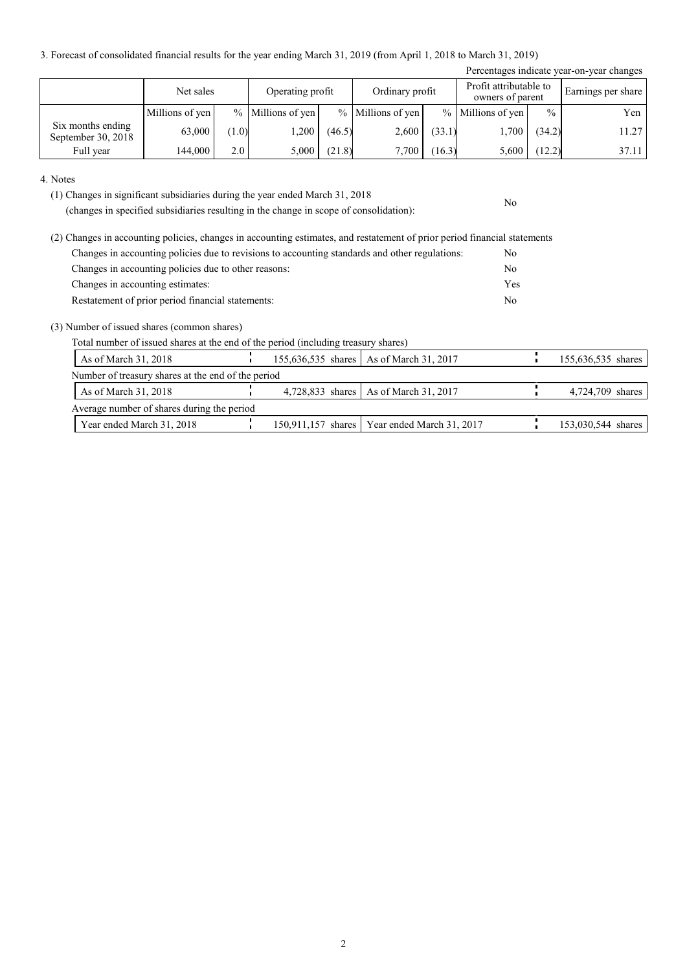3. Forecast of consolidated financial results for the year ending March 31, 2019 (from April 1, 2018 to March 31, 2019)

|                                         |                 |       |                     |        |                     |        |                                            |               | Percentages indicate year-on-year changes |
|-----------------------------------------|-----------------|-------|---------------------|--------|---------------------|--------|--------------------------------------------|---------------|-------------------------------------------|
|                                         | Net sales       |       | Operating profit    |        | Ordinary profit     |        | Profit attributable to<br>owners of parent |               | Earnings per share                        |
|                                         | Millions of yen |       | $%$ Millions of yen |        | $%$ Millions of yen |        | $%$ Millions of yen                        | $\frac{0}{0}$ | Yen                                       |
| Six months ending<br>September 30, 2018 | 63,000          | (1.0) | .200                | (46.5) | 2,600               | (33.1) | 1,700                                      | (34.2)        | 11.27                                     |
| Full year                               | 144,000         | 2.0   | 5,000               | (21.8) | 7,700               | (16.3) | 5,600                                      | (12.2)        | 37.11                                     |

No

4. Notes

(1) Changes in significant subsidiaries during the year ended March 31, 2018

(changes in specified subsidiaries resulting in the change in scope of consolidation):

| (2) Changes in accounting policies, changes in accounting estimates, and restatement of prior period financial statements |     |
|---------------------------------------------------------------------------------------------------------------------------|-----|
| Changes in accounting policies due to revisions to accounting standards and other regulations:                            | N0  |
| Changes in accounting policies due to other reasons:                                                                      | No  |
| Changes in accounting estimates:                                                                                          | Yes |
| Restatement of prior period financial statements:                                                                         | No  |

(3) Number of issued shares (common shares)

Total number of issued shares at the end of the period (including treasury shares)

| As of March 31, 2018                               |  | 155,636,535 shares   As of March 31, 2017      | 155,636,535 shares |
|----------------------------------------------------|--|------------------------------------------------|--------------------|
| Number of treasury shares at the end of the period |  |                                                |                    |
| As of March 31, 2018                               |  | 4,728,833 shares   As of March 31, 2017        | 4,724,709 shares   |
| Average number of shares during the period         |  |                                                |                    |
| Year ended March 31, 2018                          |  | 150,911,157 shares   Year ended March 31, 2017 | 153,030,544 shares |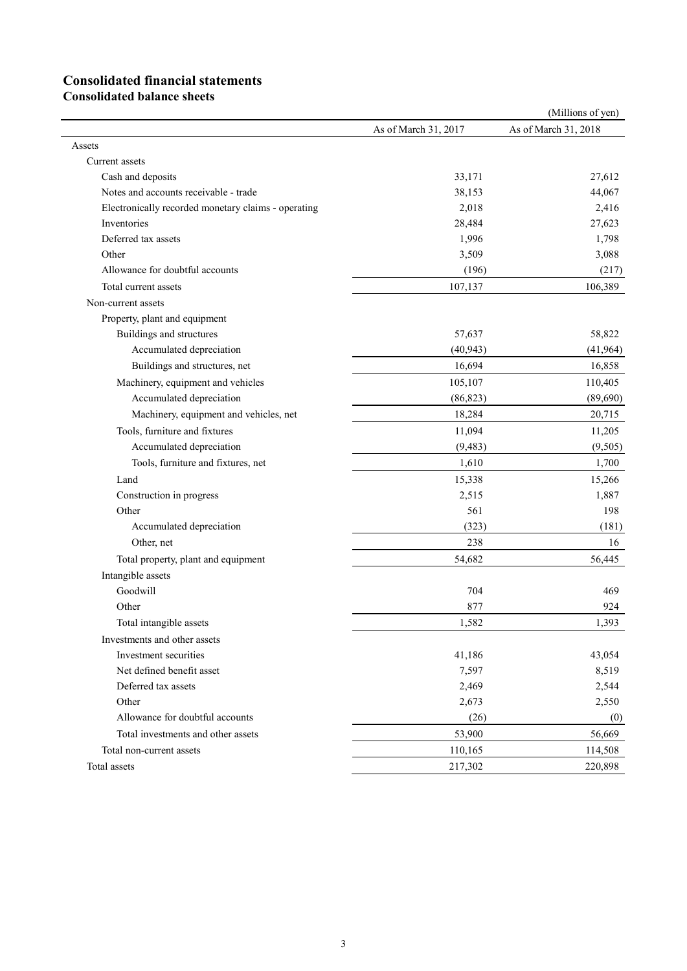# **Consolidated financial statements**

**Consolidated balance sheets**

|                                                     |                      | (Millions of yen)    |
|-----------------------------------------------------|----------------------|----------------------|
|                                                     | As of March 31, 2017 | As of March 31, 2018 |
| Assets                                              |                      |                      |
| Current assets                                      |                      |                      |
| Cash and deposits                                   | 33,171               | 27,612               |
| Notes and accounts receivable - trade               | 38,153               | 44,067               |
| Electronically recorded monetary claims - operating | 2,018                | 2,416                |
| Inventories                                         | 28,484               | 27,623               |
| Deferred tax assets                                 | 1,996                | 1,798                |
| Other                                               | 3,509                | 3,088                |
| Allowance for doubtful accounts                     | (196)                | (217)                |
| Total current assets                                | 107,137              | 106,389              |
| Non-current assets                                  |                      |                      |
| Property, plant and equipment                       |                      |                      |
| Buildings and structures                            | 57,637               | 58,822               |
| Accumulated depreciation                            | (40, 943)            | (41, 964)            |
| Buildings and structures, net                       | 16,694               | 16,858               |
| Machinery, equipment and vehicles                   | 105,107              | 110,405              |
| Accumulated depreciation                            | (86, 823)            | (89, 690)            |
| Machinery, equipment and vehicles, net              | 18,284               | 20,715               |
| Tools, furniture and fixtures                       | 11,094               | 11,205               |
| Accumulated depreciation                            | (9, 483)             | (9, 505)             |
| Tools, furniture and fixtures, net                  | 1,610                | 1,700                |
| Land                                                | 15,338               | 15,266               |
| Construction in progress                            | 2,515                | 1,887                |
| Other                                               | 561                  | 198                  |
| Accumulated depreciation                            | (323)                | (181)                |
| Other, net                                          | 238                  | 16                   |
| Total property, plant and equipment                 | 54,682               | 56,445               |
| Intangible assets                                   |                      |                      |
| Goodwill                                            | 704                  | 469                  |
| Other                                               | 877                  | 924                  |
| Total intangible assets                             | 1,582                | 1,393                |
| Investments and other assets                        |                      |                      |
| Investment securities                               | 41,186               | 43,054               |
| Net defined benefit asset                           | 7,597                | 8,519                |
| Deferred tax assets                                 | 2,469                | 2,544                |
| Other                                               | 2,673                | 2,550                |
| Allowance for doubtful accounts                     | (26)                 | (0)                  |
| Total investments and other assets                  | 53,900               | 56,669               |
| Total non-current assets                            | 110,165              | 114,508              |
| Total assets                                        | 217,302              | 220,898              |
|                                                     |                      |                      |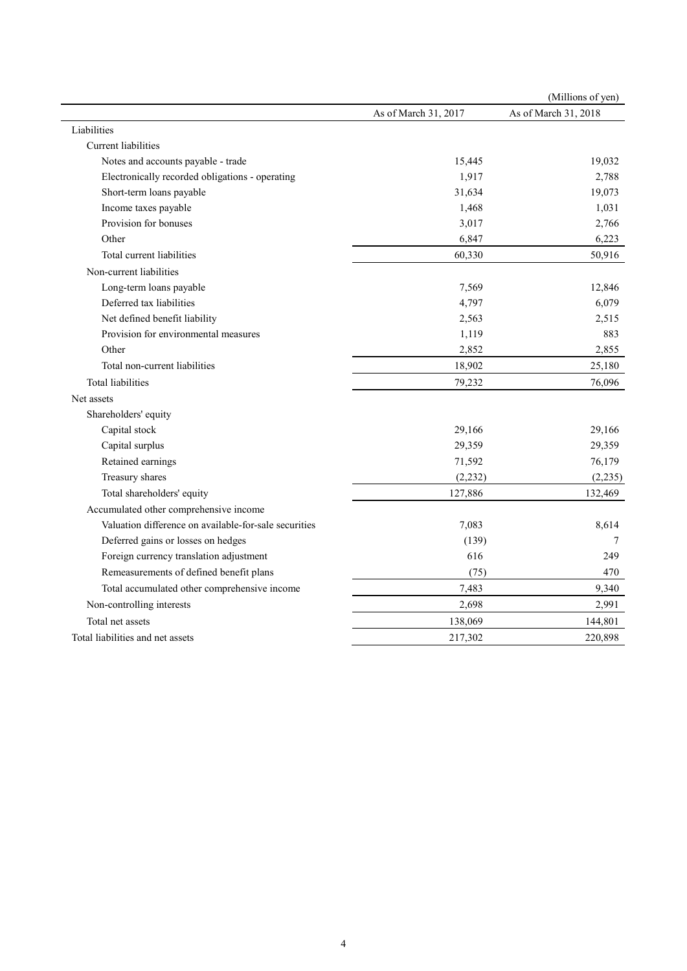|                                                       |                      | (Millions of yen)    |
|-------------------------------------------------------|----------------------|----------------------|
|                                                       | As of March 31, 2017 | As of March 31, 2018 |
| Liabilities                                           |                      |                      |
| Current liabilities                                   |                      |                      |
| Notes and accounts payable - trade                    | 15,445               | 19,032               |
| Electronically recorded obligations - operating       | 1,917                | 2,788                |
| Short-term loans payable                              | 31,634               | 19,073               |
| Income taxes payable                                  | 1,468                | 1,031                |
| Provision for bonuses                                 | 3,017                | 2,766                |
| Other                                                 | 6,847                | 6,223                |
| Total current liabilities                             | 60,330               | 50,916               |
| Non-current liabilities                               |                      |                      |
| Long-term loans payable                               | 7,569                | 12,846               |
| Deferred tax liabilities                              | 4,797                | 6,079                |
| Net defined benefit liability                         | 2,563                | 2,515                |
| Provision for environmental measures                  | 1,119                | 883                  |
| Other                                                 | 2,852                | 2,855                |
| Total non-current liabilities                         | 18,902               | 25,180               |
| <b>Total liabilities</b>                              | 79,232               | 76,096               |
| Net assets                                            |                      |                      |
| Shareholders' equity                                  |                      |                      |
| Capital stock                                         | 29,166               | 29,166               |
| Capital surplus                                       | 29,359               | 29,359               |
| Retained earnings                                     | 71,592               | 76,179               |
| Treasury shares                                       | (2, 232)             | (2, 235)             |
| Total shareholders' equity                            | 127,886              | 132,469              |
| Accumulated other comprehensive income                |                      |                      |
| Valuation difference on available-for-sale securities | 7,083                | 8,614                |
| Deferred gains or losses on hedges                    | (139)                | 7                    |
| Foreign currency translation adjustment               | 616                  | 249                  |
| Remeasurements of defined benefit plans               | (75)                 | 470                  |
| Total accumulated other comprehensive income          | 7,483                | 9,340                |
| Non-controlling interests                             | 2,698                | 2,991                |
| Total net assets                                      | 138,069              | 144,801              |
| Total liabilities and net assets                      | 217,302              | 220,898              |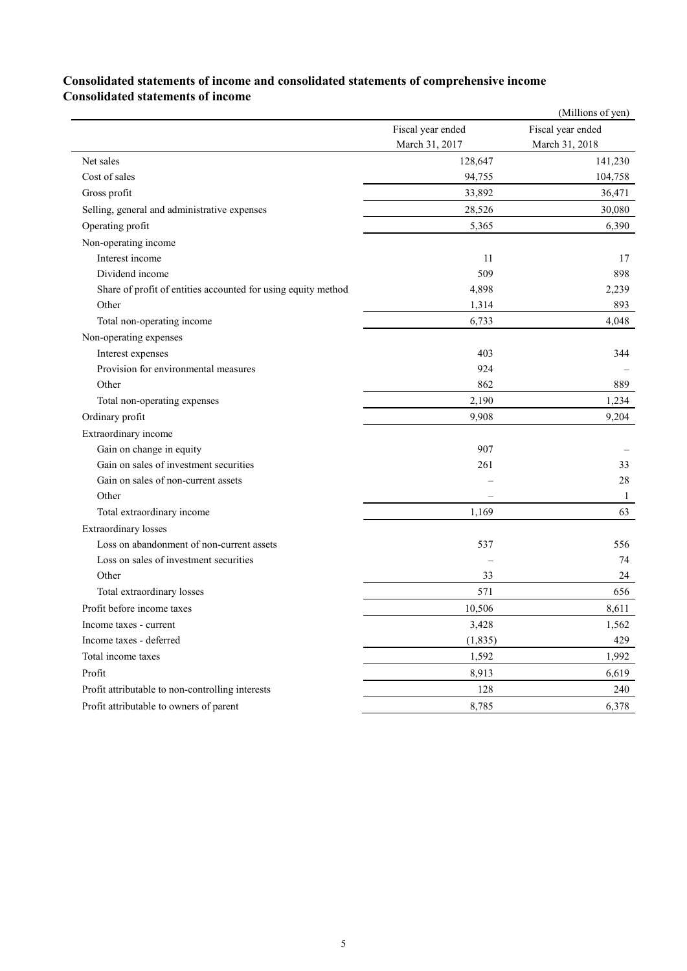### **Consolidated statements of income and consolidated statements of comprehensive income Consolidated statements of income**

|                                                               |                   | (Millions of yen) |
|---------------------------------------------------------------|-------------------|-------------------|
|                                                               | Fiscal year ended | Fiscal year ended |
|                                                               | March 31, 2017    | March 31, 2018    |
| Net sales                                                     | 128,647           | 141,230           |
| Cost of sales                                                 | 94,755            | 104,758           |
| Gross profit                                                  | 33,892            | 36,471            |
| Selling, general and administrative expenses                  | 28,526            | 30,080            |
| Operating profit                                              | 5,365             | 6,390             |
| Non-operating income                                          |                   |                   |
| Interest income                                               | 11                | 17                |
| Dividend income                                               | 509               | 898               |
| Share of profit of entities accounted for using equity method | 4,898             | 2,239             |
| Other                                                         | 1,314             | 893               |
| Total non-operating income                                    | 6,733             | 4,048             |
| Non-operating expenses                                        |                   |                   |
| Interest expenses                                             | 403               | 344               |
| Provision for environmental measures                          | 924               |                   |
| Other                                                         | 862               | 889               |
| Total non-operating expenses                                  | 2,190             | 1,234             |
| Ordinary profit                                               | 9,908             | 9,204             |
| Extraordinary income                                          |                   |                   |
| Gain on change in equity                                      | 907               |                   |
| Gain on sales of investment securities                        | 261               | 33                |
| Gain on sales of non-current assets                           |                   | 28                |
| Other                                                         |                   | 1                 |
| Total extraordinary income                                    | 1,169             | 63                |
| <b>Extraordinary</b> losses                                   |                   |                   |
| Loss on abandonment of non-current assets                     | 537               | 556               |
| Loss on sales of investment securities                        |                   | 74                |
| Other                                                         | 33                | 24                |
| Total extraordinary losses                                    | 571               | 656               |
| Profit before income taxes                                    | 10,506            | 8,611             |
| Income taxes - current                                        | 3,428             | 1,562             |
| Income taxes - deferred                                       | (1, 835)          | 429               |
| Total income taxes                                            | 1,592             | 1,992             |
| Profit                                                        | 8,913             | 6,619             |
| Profit attributable to non-controlling interests              | 128               | 240               |
| Profit attributable to owners of parent                       | 8,785             | 6,378             |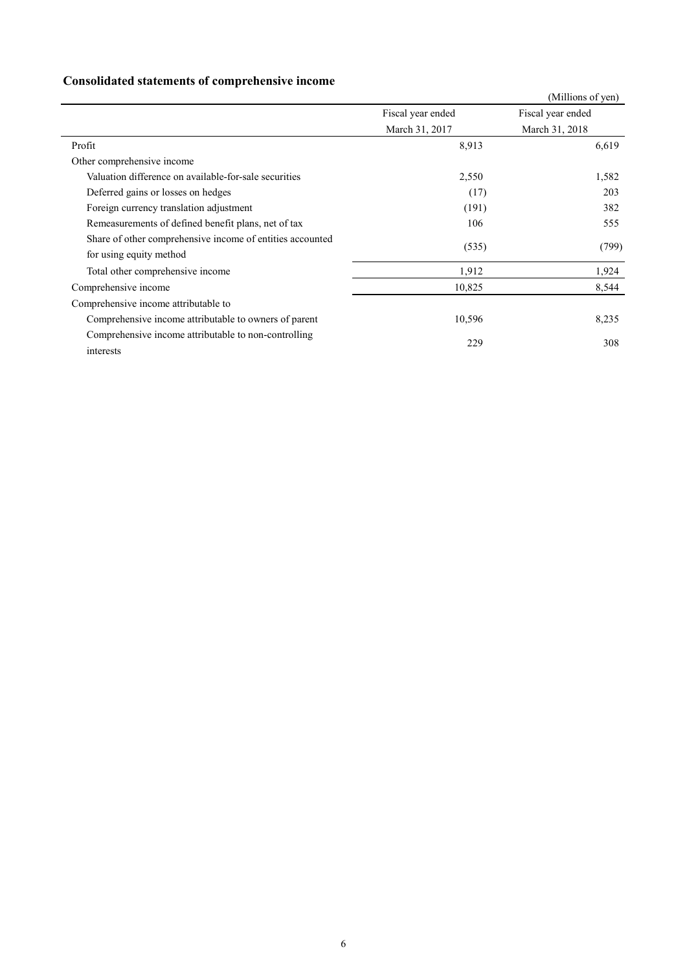## **Consolidated statements of comprehensive income**

|                                                           |                   | (Millions of yen) |  |
|-----------------------------------------------------------|-------------------|-------------------|--|
|                                                           | Fiscal year ended | Fiscal year ended |  |
|                                                           | March 31, 2017    | March 31, 2018    |  |
| Profit                                                    | 8,913             | 6,619             |  |
| Other comprehensive income                                |                   |                   |  |
| Valuation difference on available-for-sale securities     | 2,550             | 1,582             |  |
| Deferred gains or losses on hedges                        | (17)              | 203               |  |
| Foreign currency translation adjustment                   | (191)             | 382               |  |
| Remeasurements of defined benefit plans, net of tax       | 106               | 555               |  |
| Share of other comprehensive income of entities accounted | (535)             | (799)             |  |
| for using equity method                                   |                   |                   |  |
| Total other comprehensive income                          | 1,912             | 1,924             |  |
| Comprehensive income                                      | 10,825            | 8,544             |  |
| Comprehensive income attributable to                      |                   |                   |  |
| Comprehensive income attributable to owners of parent     | 10,596            | 8,235             |  |
| Comprehensive income attributable to non-controlling      | 229               | 308               |  |
| interests                                                 |                   |                   |  |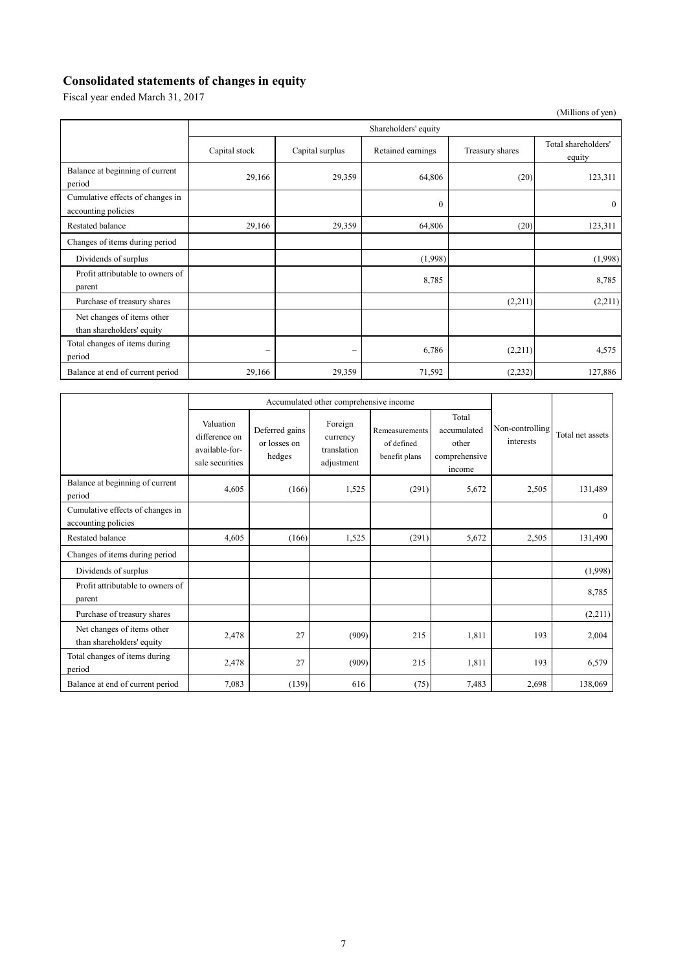## **Consolidated statements of changes in equity**

Fiscal year ended March 31, 2017

(Millions of yen)

|                                                         | Shareholders' equity |                 |                   |                 |                               |  |
|---------------------------------------------------------|----------------------|-----------------|-------------------|-----------------|-------------------------------|--|
|                                                         | Capital stock        | Capital surplus | Retained earnings | Treasury shares | Total shareholders'<br>equity |  |
| Balance at beginning of current<br>period               | 29,166               | 29,359          | 64,806            | (20)            | 123,311                       |  |
| Cumulative effects of changes in<br>accounting policies |                      |                 | $\mathbf{0}$      |                 | $\theta$                      |  |
| <b>Restated balance</b>                                 | 29,166               | 29,359          | 64,806            | (20)            | 123,311                       |  |
| Changes of items during period                          |                      |                 |                   |                 |                               |  |
| Dividends of surplus                                    |                      |                 | (1,998)           |                 | (1,998)                       |  |
| Profit attributable to owners of<br>parent              |                      |                 | 8,785             |                 | 8,785                         |  |
| Purchase of treasury shares                             |                      |                 |                   | (2,211)         | (2,211)                       |  |
| Net changes of items other<br>than shareholders' equity |                      |                 |                   |                 |                               |  |
| Total changes of items during<br>period                 | -                    | -               | 6,786             | (2,211)         | 4,575                         |  |
| Balance at end of current period                        | 29,166               | 29,359          | 71,592            | (2, 232)        | 127,886                       |  |

|                                                         | Accumulated other comprehensive income                          |                                          |                                                  |                                               |                                                          |                              |                  |
|---------------------------------------------------------|-----------------------------------------------------------------|------------------------------------------|--------------------------------------------------|-----------------------------------------------|----------------------------------------------------------|------------------------------|------------------|
|                                                         | Valuation<br>difference on<br>available-for-<br>sale securities | Deferred gains<br>or losses on<br>hedges | Foreign<br>currency<br>translation<br>adjustment | Remeasurements<br>of defined<br>benefit plans | Total<br>accumulated<br>other<br>comprehensive<br>income | Non-controlling<br>interests | Total net assets |
| Balance at beginning of current<br>period               | 4,605                                                           | (166)                                    | 1,525                                            | (291)                                         | 5,672                                                    | 2,505                        | 131,489          |
| Cumulative effects of changes in<br>accounting policies |                                                                 |                                          |                                                  |                                               |                                                          |                              | $\theta$         |
| <b>Restated balance</b>                                 | 4,605                                                           | (166)                                    | 1,525                                            | (291)                                         | 5,672                                                    | 2,505                        | 131,490          |
| Changes of items during period                          |                                                                 |                                          |                                                  |                                               |                                                          |                              |                  |
| Dividends of surplus                                    |                                                                 |                                          |                                                  |                                               |                                                          |                              | (1,998)          |
| Profit attributable to owners of<br>parent              |                                                                 |                                          |                                                  |                                               |                                                          |                              | 8,785            |
| Purchase of treasury shares                             |                                                                 |                                          |                                                  |                                               |                                                          |                              | (2,211)          |
| Net changes of items other<br>than shareholders' equity | 2,478                                                           | 27                                       | (909)                                            | 215                                           | 1,811                                                    | 193                          | 2,004            |
| Total changes of items during<br>period                 | 2,478                                                           | 27                                       | (909)                                            | 215                                           | 1,811                                                    | 193                          | 6,579            |
| Balance at end of current period                        | 7,083                                                           | (139)                                    | 616                                              | (75)                                          | 7,483                                                    | 2,698                        | 138,069          |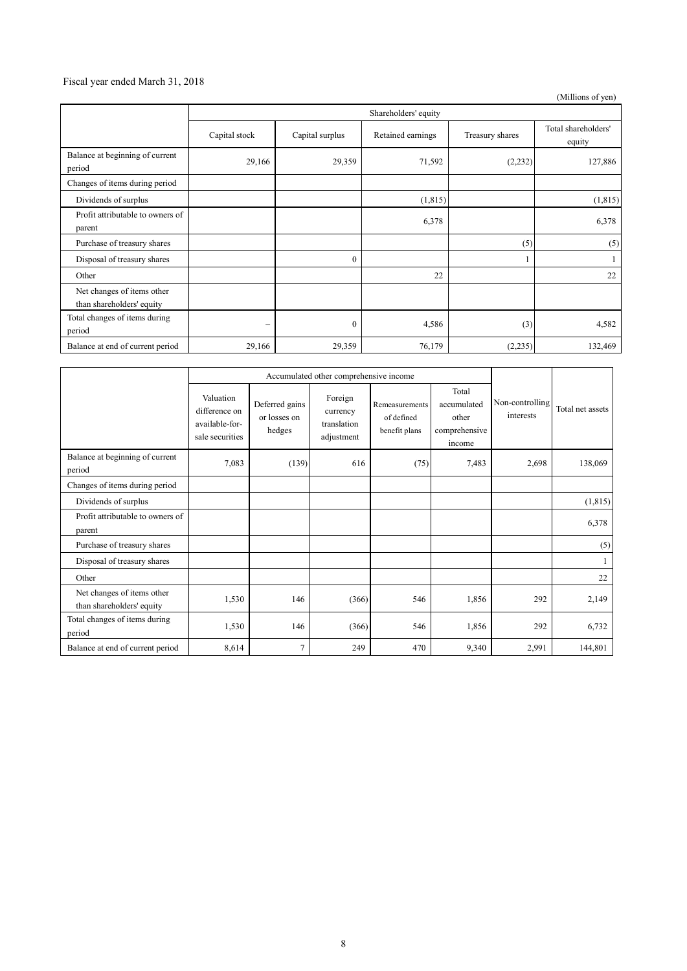#### Fiscal year ended March 31, 2018

(Millions of yen)

|                                                         | Shareholders' equity |                 |                   |                 |                               |
|---------------------------------------------------------|----------------------|-----------------|-------------------|-----------------|-------------------------------|
|                                                         | Capital stock        | Capital surplus | Retained earnings | Treasury shares | Total shareholders'<br>equity |
| Balance at beginning of current<br>period               | 29,166               | 29,359          | 71,592            | (2, 232)        | 127,886                       |
| Changes of items during period                          |                      |                 |                   |                 |                               |
| Dividends of surplus                                    |                      |                 | (1, 815)          |                 | (1, 815)                      |
| Profit attributable to owners of<br>parent              |                      |                 | 6,378             |                 | 6,378                         |
| Purchase of treasury shares                             |                      |                 |                   | (5)             | (5)                           |
| Disposal of treasury shares                             |                      | $\mathbf{0}$    |                   |                 |                               |
| Other                                                   |                      |                 | 22                |                 | 22                            |
| Net changes of items other<br>than shareholders' equity |                      |                 |                   |                 |                               |
| Total changes of items during<br>period                 |                      | $\mathbf{0}$    | 4,586             | (3)             | 4,582                         |
| Balance at end of current period                        | 29,166               | 29,359          | 76,179            | (2, 235)        | 132,469                       |

|                                                         | Accumulated other comprehensive income                          |                                          |                                                  |                                               |                                                          |                              |                  |
|---------------------------------------------------------|-----------------------------------------------------------------|------------------------------------------|--------------------------------------------------|-----------------------------------------------|----------------------------------------------------------|------------------------------|------------------|
|                                                         | Valuation<br>difference on<br>available-for-<br>sale securities | Deferred gains<br>or losses on<br>hedges | Foreign<br>currency<br>translation<br>adjustment | Remeasurements<br>of defined<br>benefit plans | Total<br>accumulated<br>other<br>comprehensive<br>income | Non-controlling<br>interests | Total net assets |
| Balance at beginning of current<br>period               | 7,083                                                           | (139)                                    | 616                                              | (75)                                          | 7,483                                                    | 2,698                        | 138,069          |
| Changes of items during period                          |                                                                 |                                          |                                                  |                                               |                                                          |                              |                  |
| Dividends of surplus                                    |                                                                 |                                          |                                                  |                                               |                                                          |                              | (1, 815)         |
| Profit attributable to owners of<br>parent              |                                                                 |                                          |                                                  |                                               |                                                          |                              | 6,378            |
| Purchase of treasury shares                             |                                                                 |                                          |                                                  |                                               |                                                          |                              | (5)              |
| Disposal of treasury shares                             |                                                                 |                                          |                                                  |                                               |                                                          |                              |                  |
| Other                                                   |                                                                 |                                          |                                                  |                                               |                                                          |                              | 22               |
| Net changes of items other<br>than shareholders' equity | 1,530                                                           | 146                                      | (366)                                            | 546                                           | 1,856                                                    | 292                          | 2,149            |
| Total changes of items during<br>period                 | 1,530                                                           | 146                                      | (366)                                            | 546                                           | 1,856                                                    | 292                          | 6,732            |
| Balance at end of current period                        | 8,614                                                           | $\overline{7}$                           | 249                                              | 470                                           | 9,340                                                    | 2,991                        | 144,801          |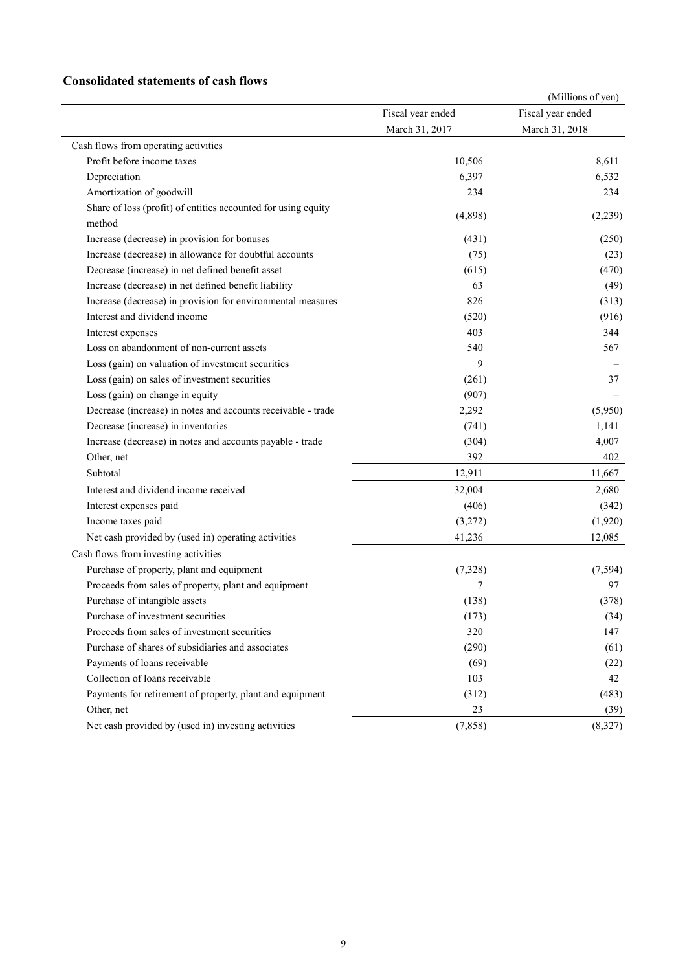#### **Consolidated statements of cash flows**

|                                                                         |                   | (Millions of yen) |
|-------------------------------------------------------------------------|-------------------|-------------------|
|                                                                         | Fiscal year ended | Fiscal year ended |
|                                                                         | March 31, 2017    | March 31, 2018    |
| Cash flows from operating activities                                    |                   |                   |
| Profit before income taxes                                              | 10,506            | 8,611             |
| Depreciation                                                            | 6,397             | 6,532             |
| Amortization of goodwill                                                | 234               | 234               |
| Share of loss (profit) of entities accounted for using equity<br>method | (4,898)           | (2,239)           |
| Increase (decrease) in provision for bonuses                            | (431)             | (250)             |
| Increase (decrease) in allowance for doubtful accounts                  | (75)              | (23)              |
| Decrease (increase) in net defined benefit asset                        | (615)             | (470)             |
| Increase (decrease) in net defined benefit liability                    | 63                | (49)              |
| Increase (decrease) in provision for environmental measures             | 826               | (313)             |
| Interest and dividend income                                            | (520)             | (916)             |
| Interest expenses                                                       | 403               | 344               |
| Loss on abandonment of non-current assets                               | 540               | 567               |
| Loss (gain) on valuation of investment securities                       | 9                 |                   |
| Loss (gain) on sales of investment securities                           | (261)             | 37                |
| Loss (gain) on change in equity                                         | (907)             |                   |
| Decrease (increase) in notes and accounts receivable - trade            | 2,292             | (5,950)           |
| Decrease (increase) in inventories                                      | (741)             | 1,141             |
| Increase (decrease) in notes and accounts payable - trade               | (304)             | 4,007             |
| Other, net                                                              | 392               | 402               |
| Subtotal                                                                | 12,911            | 11,667            |
| Interest and dividend income received                                   | 32,004            | 2,680             |
| Interest expenses paid                                                  | (406)             | (342)             |
| Income taxes paid                                                       | (3,272)           | (1,920)           |
| Net cash provided by (used in) operating activities                     | 41,236            | 12,085            |
| Cash flows from investing activities                                    |                   |                   |
| Purchase of property, plant and equipment                               | (7,328)           | (7, 594)          |
| Proceeds from sales of property, plant and equipment                    | 7                 | 97                |
| Purchase of intangible assets                                           | (138)             | (378)             |
| Purchase of investment securities                                       | (173)             | (34)              |
| Proceeds from sales of investment securities                            | 320               | 147               |
| Purchase of shares of subsidiaries and associates                       | (290)             | (61)              |
| Payments of loans receivable                                            | (69)              | (22)              |
| Collection of loans receivable                                          | 103               | 42                |
| Payments for retirement of property, plant and equipment                | (312)             | (483)             |
| Other, net                                                              | 23                | (39)              |
| Net cash provided by (used in) investing activities                     | (7, 858)          | (8,327)           |